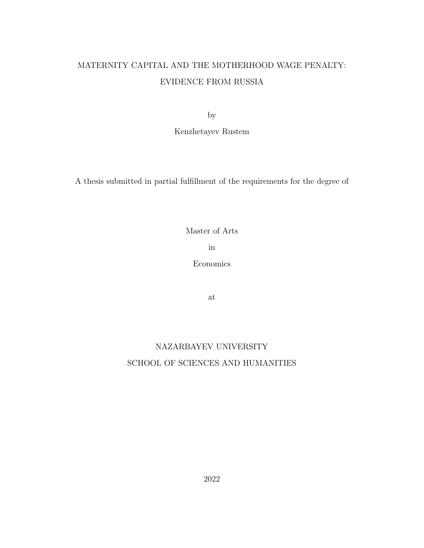# MATERNITY CAPITAL AND THE MOTHERHOOD WAGE PENALTY: EVIDENCE FROM RUSSIA

by

Kenzhetayev Rustem

A thesis submitted in partial fulfillment of the requirements for the degree of

Master of Arts

in

Economics

at

# NAZARBAYEV UNIVERSITY SCHOOL OF SCIENCES AND HUMANITIES

2022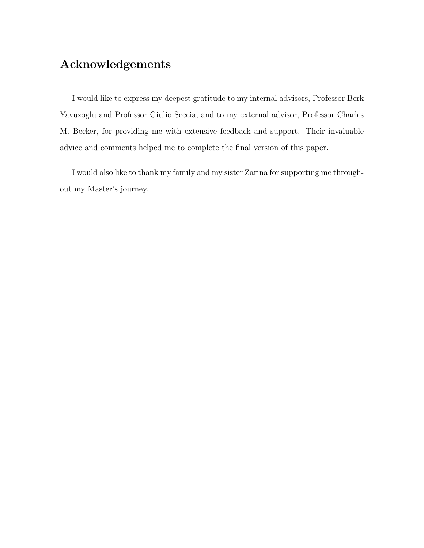# Acknowledgements

I would like to express my deepest gratitude to my internal advisors, Professor Berk Yavuzoglu and Professor Giulio Seccia, and to my external advisor, Professor Charles M. Becker, for providing me with extensive feedback and support. Their invaluable advice and comments helped me to complete the final version of this paper.

I would also like to thank my family and my sister Zarina for supporting me throughout my Master's journey.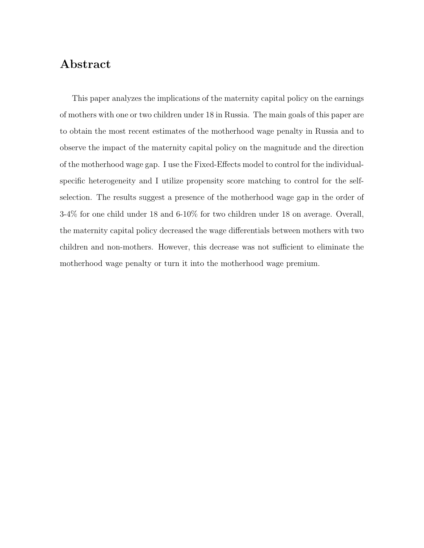#### Abstract

This paper analyzes the implications of the maternity capital policy on the earnings of mothers with one or two children under 18 in Russia. The main goals of this paper are to obtain the most recent estimates of the motherhood wage penalty in Russia and to observe the impact of the maternity capital policy on the magnitude and the direction of the motherhood wage gap. I use the Fixed-Effects model to control for the individualspecific heterogeneity and I utilize propensity score matching to control for the selfselection. The results suggest a presence of the motherhood wage gap in the order of 3-4% for one child under 18 and 6-10% for two children under 18 on average. Overall, the maternity capital policy decreased the wage differentials between mothers with two children and non-mothers. However, this decrease was not sufficient to eliminate the motherhood wage penalty or turn it into the motherhood wage premium.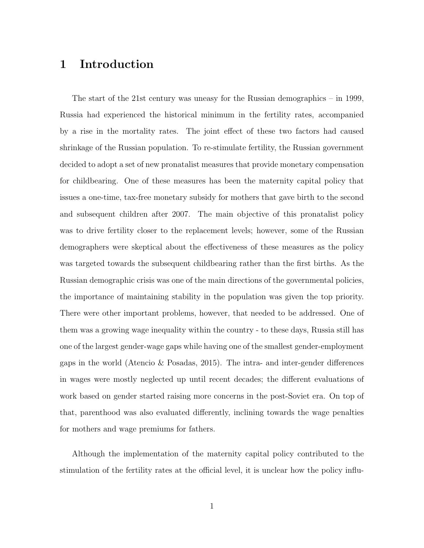## 1 Introduction

The start of the 21st century was uneasy for the Russian demographics – in 1999, Russia had experienced the historical minimum in the fertility rates, accompanied by a rise in the mortality rates. The joint effect of these two factors had caused shrinkage of the Russian population. To re-stimulate fertility, the Russian government decided to adopt a set of new pronatalist measures that provide monetary compensation for childbearing. One of these measures has been the maternity capital policy that issues a one-time, tax-free monetary subsidy for mothers that gave birth to the second and subsequent children after 2007. The main objective of this pronatalist policy was to drive fertility closer to the replacement levels; however, some of the Russian demographers were skeptical about the effectiveness of these measures as the policy was targeted towards the subsequent childbearing rather than the first births. As the Russian demographic crisis was one of the main directions of the governmental policies, the importance of maintaining stability in the population was given the top priority. There were other important problems, however, that needed to be addressed. One of them was a growing wage inequality within the country - to these days, Russia still has one of the largest gender-wage gaps while having one of the smallest gender-employment gaps in the world (Atencio & Posadas, 2015). The intra- and inter-gender differences in wages were mostly neglected up until recent decades; the different evaluations of work based on gender started raising more concerns in the post-Soviet era. On top of that, parenthood was also evaluated differently, inclining towards the wage penalties for mothers and wage premiums for fathers.

Although the implementation of the maternity capital policy contributed to the stimulation of the fertility rates at the official level, it is unclear how the policy influ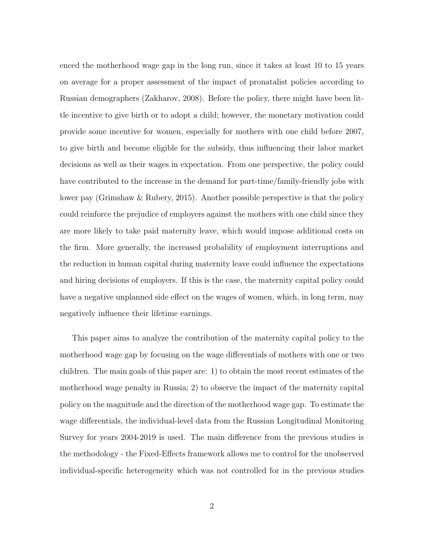enced the motherhood wage gap in the long run, since it takes at least 10 to 15 years on average for a proper assessment of the impact of pronatalist policies according to Russian demographers (Zakharov, 2008). Before the policy, there might have been little incentive to give birth or to adopt a child; however, the monetary motivation could provide some incentive for women, especially for mothers with one child before 2007, to give birth and become eligible for the subsidy, thus influencing their labor market decisions as well as their wages in expectation. From one perspective, the policy could have contributed to the increase in the demand for part-time/family-friendly jobs with lower pay (Grimshaw & Rubery, 2015). Another possible perspective is that the policy could reinforce the prejudice of employers against the mothers with one child since they are more likely to take paid maternity leave, which would impose additional costs on the firm. More generally, the increased probability of employment interruptions and the reduction in human capital during maternity leave could influence the expectations and hiring decisions of employers. If this is the case, the maternity capital policy could have a negative unplanned side effect on the wages of women, which, in long term, may negatively influence their lifetime earnings.

This paper aims to analyze the contribution of the maternity capital policy to the motherhood wage gap by focusing on the wage differentials of mothers with one or two children. The main goals of this paper are: 1) to obtain the most recent estimates of the motherhood wage penalty in Russia; 2) to observe the impact of the maternity capital policy on the magnitude and the direction of the motherhood wage gap. To estimate the wage differentials, the individual-level data from the Russian Longitudinal Monitoring Survey for years 2004-2019 is used. The main difference from the previous studies is the methodology - the Fixed-Effects framework allows me to control for the unobserved individual-specific heterogeneity which was not controlled for in the previous studies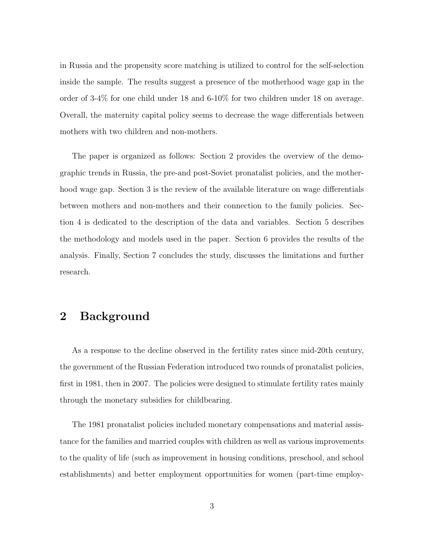in Russia and the propensity score matching is utilized to control for the self-selection inside the sample. The results suggest a presence of the motherhood wage gap in the order of 3-4% for one child under 18 and 6-10% for two children under 18 on average. Overall, the maternity capital policy seems to decrease the wage differentials between mothers with two children and non-mothers.

The paper is organized as follows: Section 2 provides the overview of the demographic trends in Russia, the pre-and post-Soviet pronatalist policies, and the motherhood wage gap. Section 3 is the review of the available literature on wage differentials between mothers and non-mothers and their connection to the family policies. Section 4 is dedicated to the description of the data and variables. Section 5 describes the methodology and models used in the paper. Section 6 provides the results of the analysis. Finally, Section 7 concludes the study, discusses the limitations and further research.

#### 2 Background

As a response to the decline observed in the fertility rates since mid-20th century, the government of the Russian Federation introduced two rounds of pronatalist policies, first in 1981, then in 2007. The policies were designed to stimulate fertility rates mainly through the monetary subsidies for childbearing.

The 1981 pronatalist policies included monetary compensations and material assistance for the families and married couples with children as well as various improvements to the quality of life (such as improvement in housing conditions, preschool, and school establishments) and better employment opportunities for women (part-time employ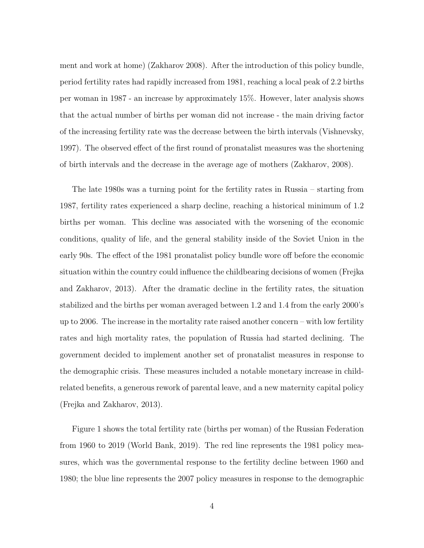ment and work at home) (Zakharov 2008). After the introduction of this policy bundle, period fertility rates had rapidly increased from 1981, reaching a local peak of 2.2 births per woman in 1987 - an increase by approximately 15%. However, later analysis shows that the actual number of births per woman did not increase - the main driving factor of the increasing fertility rate was the decrease between the birth intervals (Vishnevsky, 1997). The observed effect of the first round of pronatalist measures was the shortening of birth intervals and the decrease in the average age of mothers (Zakharov, 2008).

The late 1980s was a turning point for the fertility rates in Russia – starting from 1987, fertility rates experienced a sharp decline, reaching a historical minimum of 1.2 births per woman. This decline was associated with the worsening of the economic conditions, quality of life, and the general stability inside of the Soviet Union in the early 90s. The effect of the 1981 pronatalist policy bundle wore off before the economic situation within the country could influence the childbearing decisions of women (Frejka and Zakharov, 2013). After the dramatic decline in the fertility rates, the situation stabilized and the births per woman averaged between 1.2 and 1.4 from the early 2000's up to 2006. The increase in the mortality rate raised another concern – with low fertility rates and high mortality rates, the population of Russia had started declining. The government decided to implement another set of pronatalist measures in response to the demographic crisis. These measures included a notable monetary increase in childrelated benefits, a generous rework of parental leave, and a new maternity capital policy (Frejka and Zakharov, 2013).

Figure 1 shows the total fertility rate (births per woman) of the Russian Federation from 1960 to 2019 (World Bank, 2019). The red line represents the 1981 policy measures, which was the governmental response to the fertility decline between 1960 and 1980; the blue line represents the 2007 policy measures in response to the demographic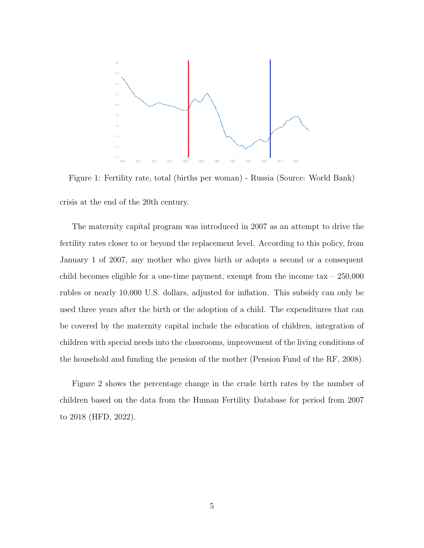

Figure 1: Fertility rate, total (births per woman) - Russia (Source: World Bank) crisis at the end of the 20th century.

The maternity capital program was introduced in 2007 as an attempt to drive the fertility rates closer to or beyond the replacement level. According to this policy, from January 1 of 2007, any mother who gives birth or adopts a second or a consequent child becomes eligible for a one-time payment, exempt from the income  $\tan x - 250,000$ rubles or nearly 10,000 U.S. dollars, adjusted for inflation. This subsidy can only be used three years after the birth or the adoption of a child. The expenditures that can be covered by the maternity capital include the education of children, integration of children with special needs into the classrooms, improvement of the living conditions of the household and funding the pension of the mother (Pension Fund of the RF, 2008).

Figure 2 shows the percentage change in the crude birth rates by the number of children based on the data from the Human Fertility Database for period from 2007 to 2018 (HFD, 2022).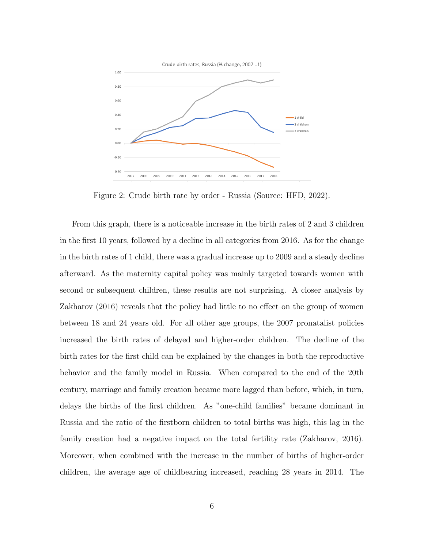

Figure 2: Crude birth rate by order - Russia (Source: HFD, 2022).

From this graph, there is a noticeable increase in the birth rates of 2 and 3 children in the first 10 years, followed by a decline in all categories from 2016. As for the change in the birth rates of 1 child, there was a gradual increase up to 2009 and a steady decline afterward. As the maternity capital policy was mainly targeted towards women with second or subsequent children, these results are not surprising. A closer analysis by Zakharov (2016) reveals that the policy had little to no effect on the group of women between 18 and 24 years old. For all other age groups, the 2007 pronatalist policies increased the birth rates of delayed and higher-order children. The decline of the birth rates for the first child can be explained by the changes in both the reproductive behavior and the family model in Russia. When compared to the end of the 20th century, marriage and family creation became more lagged than before, which, in turn, delays the births of the first children. As "one-child families" became dominant in Russia and the ratio of the firstborn children to total births was high, this lag in the family creation had a negative impact on the total fertility rate (Zakharov, 2016). Moreover, when combined with the increase in the number of births of higher-order children, the average age of childbearing increased, reaching 28 years in 2014. The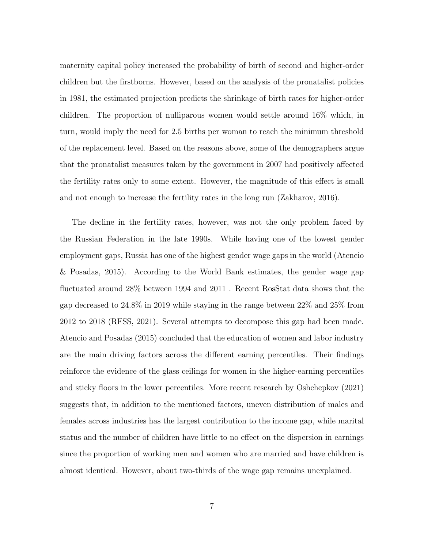maternity capital policy increased the probability of birth of second and higher-order children but the firstborns. However, based on the analysis of the pronatalist policies in 1981, the estimated projection predicts the shrinkage of birth rates for higher-order children. The proportion of nulliparous women would settle around 16% which, in turn, would imply the need for 2.5 births per woman to reach the minimum threshold of the replacement level. Based on the reasons above, some of the demographers argue that the pronatalist measures taken by the government in 2007 had positively affected the fertility rates only to some extent. However, the magnitude of this effect is small and not enough to increase the fertility rates in the long run (Zakharov, 2016).

The decline in the fertility rates, however, was not the only problem faced by the Russian Federation in the late 1990s. While having one of the lowest gender employment gaps, Russia has one of the highest gender wage gaps in the world (Atencio & Posadas, 2015). According to the World Bank estimates, the gender wage gap fluctuated around 28% between 1994 and 2011 . Recent RosStat data shows that the gap decreased to 24.8% in 2019 while staying in the range between 22% and 25% from 2012 to 2018 (RFSS, 2021). Several attempts to decompose this gap had been made. Atencio and Posadas (2015) concluded that the education of women and labor industry are the main driving factors across the different earning percentiles. Their findings reinforce the evidence of the glass ceilings for women in the higher-earning percentiles and sticky floors in the lower percentiles. More recent research by Oshchepkov (2021) suggests that, in addition to the mentioned factors, uneven distribution of males and females across industries has the largest contribution to the income gap, while marital status and the number of children have little to no effect on the dispersion in earnings since the proportion of working men and women who are married and have children is almost identical. However, about two-thirds of the wage gap remains unexplained.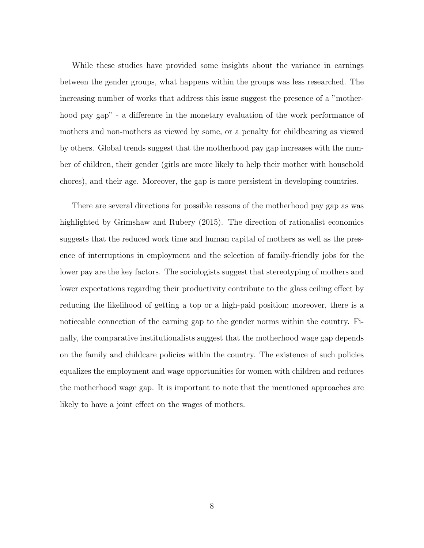While these studies have provided some insights about the variance in earnings between the gender groups, what happens within the groups was less researched. The increasing number of works that address this issue suggest the presence of a "motherhood pay gap" - a difference in the monetary evaluation of the work performance of mothers and non-mothers as viewed by some, or a penalty for childbearing as viewed by others. Global trends suggest that the motherhood pay gap increases with the number of children, their gender (girls are more likely to help their mother with household chores), and their age. Moreover, the gap is more persistent in developing countries.

There are several directions for possible reasons of the motherhood pay gap as was highlighted by Grimshaw and Rubery (2015). The direction of rationalist economics suggests that the reduced work time and human capital of mothers as well as the presence of interruptions in employment and the selection of family-friendly jobs for the lower pay are the key factors. The sociologists suggest that stereotyping of mothers and lower expectations regarding their productivity contribute to the glass ceiling effect by reducing the likelihood of getting a top or a high-paid position; moreover, there is a noticeable connection of the earning gap to the gender norms within the country. Finally, the comparative institutionalists suggest that the motherhood wage gap depends on the family and childcare policies within the country. The existence of such policies equalizes the employment and wage opportunities for women with children and reduces the motherhood wage gap. It is important to note that the mentioned approaches are likely to have a joint effect on the wages of mothers.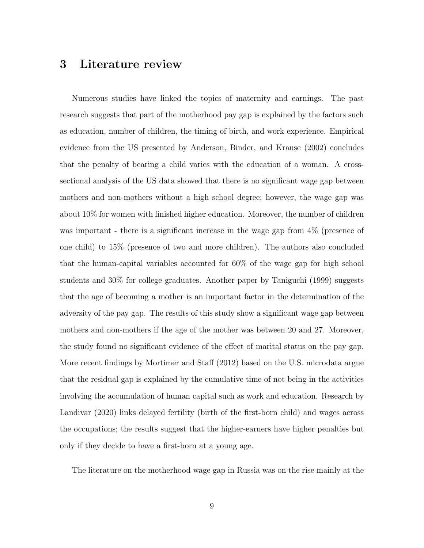#### 3 Literature review

Numerous studies have linked the topics of maternity and earnings. The past research suggests that part of the motherhood pay gap is explained by the factors such as education, number of children, the timing of birth, and work experience. Empirical evidence from the US presented by Anderson, Binder, and Krause (2002) concludes that the penalty of bearing a child varies with the education of a woman. A crosssectional analysis of the US data showed that there is no significant wage gap between mothers and non-mothers without a high school degree; however, the wage gap was about 10% for women with finished higher education. Moreover, the number of children was important - there is a significant increase in the wage gap from  $4\%$  (presence of one child) to 15% (presence of two and more children). The authors also concluded that the human-capital variables accounted for 60% of the wage gap for high school students and 30% for college graduates. Another paper by Taniguchi (1999) suggests that the age of becoming a mother is an important factor in the determination of the adversity of the pay gap. The results of this study show a significant wage gap between mothers and non-mothers if the age of the mother was between 20 and 27. Moreover, the study found no significant evidence of the effect of marital status on the pay gap. More recent findings by Mortimer and Staff (2012) based on the U.S. microdata argue that the residual gap is explained by the cumulative time of not being in the activities involving the accumulation of human capital such as work and education. Research by Landivar (2020) links delayed fertility (birth of the first-born child) and wages across the occupations; the results suggest that the higher-earners have higher penalties but only if they decide to have a first-born at a young age.

The literature on the motherhood wage gap in Russia was on the rise mainly at the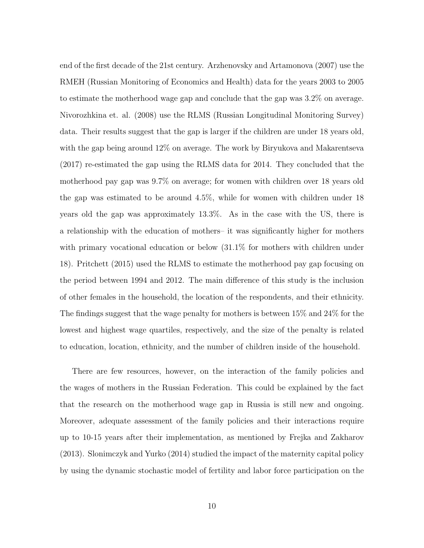end of the first decade of the 21st century. Arzhenovsky and Artamonova (2007) use the RMEH (Russian Monitoring of Economics and Health) data for the years 2003 to 2005 to estimate the motherhood wage gap and conclude that the gap was 3.2% on average. Nivorozhkina et. al. (2008) use the RLMS (Russian Longitudinal Monitoring Survey) data. Their results suggest that the gap is larger if the children are under 18 years old, with the gap being around  $12\%$  on average. The work by Biryukova and Makarentseva (2017) re-estimated the gap using the RLMS data for 2014. They concluded that the motherhood pay gap was 9.7% on average; for women with children over 18 years old the gap was estimated to be around 4.5%, while for women with children under 18 years old the gap was approximately 13.3%. As in the case with the US, there is a relationship with the education of mothers– it was significantly higher for mothers with primary vocational education or below  $(31.1\%$  for mothers with children under 18). Pritchett (2015) used the RLMS to estimate the motherhood pay gap focusing on the period between 1994 and 2012. The main difference of this study is the inclusion of other females in the household, the location of the respondents, and their ethnicity. The findings suggest that the wage penalty for mothers is between 15% and 24% for the lowest and highest wage quartiles, respectively, and the size of the penalty is related to education, location, ethnicity, and the number of children inside of the household.

There are few resources, however, on the interaction of the family policies and the wages of mothers in the Russian Federation. This could be explained by the fact that the research on the motherhood wage gap in Russia is still new and ongoing. Moreover, adequate assessment of the family policies and their interactions require up to 10-15 years after their implementation, as mentioned by Frejka and Zakharov (2013). Slonimczyk and Yurko (2014) studied the impact of the maternity capital policy by using the dynamic stochastic model of fertility and labor force participation on the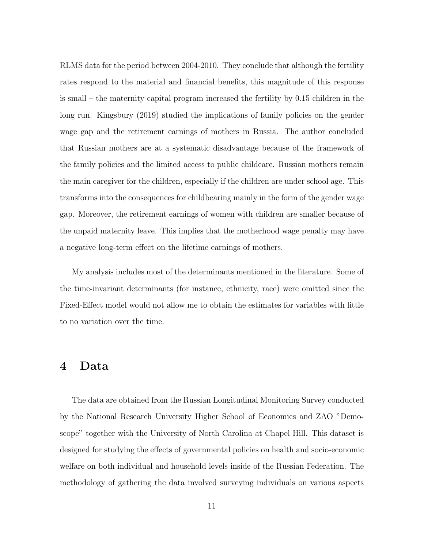RLMS data for the period between 2004-2010. They conclude that although the fertility rates respond to the material and financial benefits, this magnitude of this response is small – the maternity capital program increased the fertility by 0.15 children in the long run. Kingsbury (2019) studied the implications of family policies on the gender wage gap and the retirement earnings of mothers in Russia. The author concluded that Russian mothers are at a systematic disadvantage because of the framework of the family policies and the limited access to public childcare. Russian mothers remain the main caregiver for the children, especially if the children are under school age. This transforms into the consequences for childbearing mainly in the form of the gender wage gap. Moreover, the retirement earnings of women with children are smaller because of the unpaid maternity leave. This implies that the motherhood wage penalty may have a negative long-term effect on the lifetime earnings of mothers.

My analysis includes most of the determinants mentioned in the literature. Some of the time-invariant determinants (for instance, ethnicity, race) were omitted since the Fixed-Effect model would not allow me to obtain the estimates for variables with little to no variation over the time.

#### 4 Data

The data are obtained from the Russian Longitudinal Monitoring Survey conducted by the National Research University Higher School of Economics and ZAO "Demoscope" together with the University of North Carolina at Chapel Hill. This dataset is designed for studying the effects of governmental policies on health and socio-economic welfare on both individual and household levels inside of the Russian Federation. The methodology of gathering the data involved surveying individuals on various aspects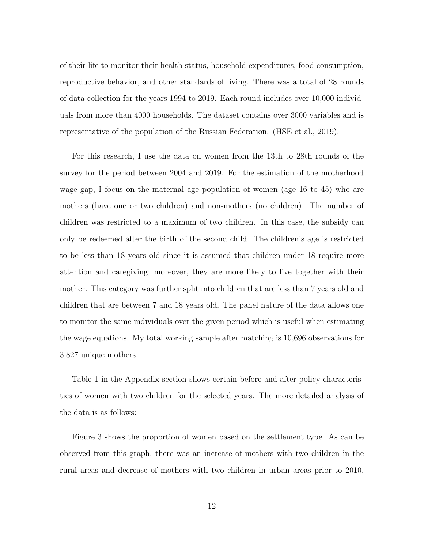of their life to monitor their health status, household expenditures, food consumption, reproductive behavior, and other standards of living. There was a total of 28 rounds of data collection for the years 1994 to 2019. Each round includes over 10,000 individuals from more than 4000 households. The dataset contains over 3000 variables and is representative of the population of the Russian Federation. (HSE et al., 2019).

For this research, I use the data on women from the 13th to 28th rounds of the survey for the period between 2004 and 2019. For the estimation of the motherhood wage gap, I focus on the maternal age population of women (age 16 to 45) who are mothers (have one or two children) and non-mothers (no children). The number of children was restricted to a maximum of two children. In this case, the subsidy can only be redeemed after the birth of the second child. The children's age is restricted to be less than 18 years old since it is assumed that children under 18 require more attention and caregiving; moreover, they are more likely to live together with their mother. This category was further split into children that are less than 7 years old and children that are between 7 and 18 years old. The panel nature of the data allows one to monitor the same individuals over the given period which is useful when estimating the wage equations. My total working sample after matching is 10,696 observations for 3,827 unique mothers.

Table 1 in the Appendix section shows certain before-and-after-policy characteristics of women with two children for the selected years. The more detailed analysis of the data is as follows:

Figure 3 shows the proportion of women based on the settlement type. As can be observed from this graph, there was an increase of mothers with two children in the rural areas and decrease of mothers with two children in urban areas prior to 2010.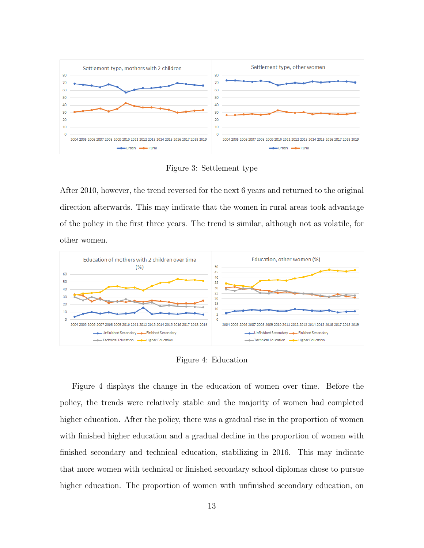

Figure 3: Settlement type

After 2010, however, the trend reversed for the next 6 years and returned to the original direction afterwards. This may indicate that the women in rural areas took advantage of the policy in the first three years. The trend is similar, although not as volatile, for other women.



Figure 4: Education

Figure 4 displays the change in the education of women over time. Before the policy, the trends were relatively stable and the majority of women had completed higher education. After the policy, there was a gradual rise in the proportion of women with finished higher education and a gradual decline in the proportion of women with finished secondary and technical education, stabilizing in 2016. This may indicate that more women with technical or finished secondary school diplomas chose to pursue higher education. The proportion of women with unfinished secondary education, on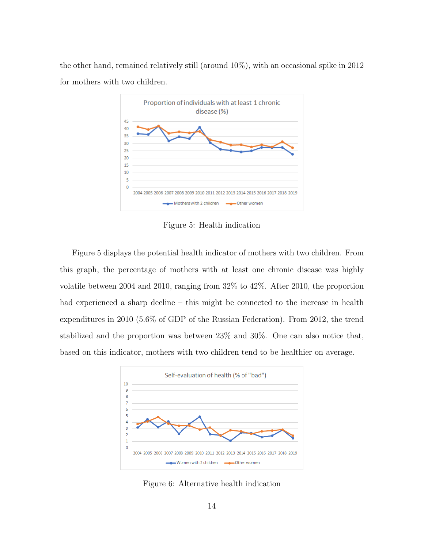the other hand, remained relatively still (around 10%), with an occasional spike in 2012 for mothers with two children.



Figure 5: Health indication

Figure 5 displays the potential health indicator of mothers with two children. From this graph, the percentage of mothers with at least one chronic disease was highly volatile between 2004 and 2010, ranging from 32% to 42%. After 2010, the proportion had experienced a sharp decline – this might be connected to the increase in health expenditures in 2010 (5.6% of GDP of the Russian Federation). From 2012, the trend stabilized and the proportion was between 23% and 30%. One can also notice that, based on this indicator, mothers with two children tend to be healthier on average.



Figure 6: Alternative health indication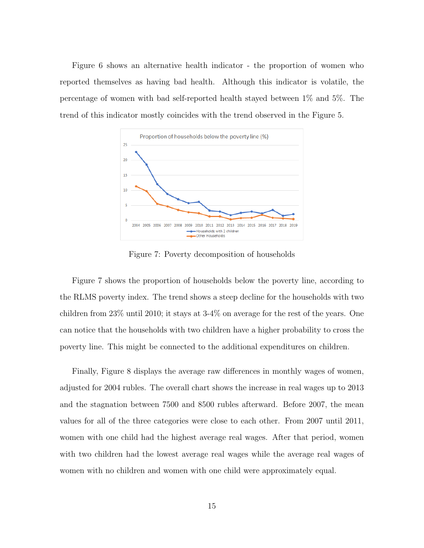Figure 6 shows an alternative health indicator - the proportion of women who reported themselves as having bad health. Although this indicator is volatile, the percentage of women with bad self-reported health stayed between 1% and 5%. The trend of this indicator mostly coincides with the trend observed in the Figure 5.



Figure 7: Poverty decomposition of households

Figure 7 shows the proportion of households below the poverty line, according to the RLMS poverty index. The trend shows a steep decline for the households with two children from 23% until 2010; it stays at 3-4% on average for the rest of the years. One can notice that the households with two children have a higher probability to cross the poverty line. This might be connected to the additional expenditures on children.

Finally, Figure 8 displays the average raw differences in monthly wages of women, adjusted for 2004 rubles. The overall chart shows the increase in real wages up to 2013 and the stagnation between 7500 and 8500 rubles afterward. Before 2007, the mean values for all of the three categories were close to each other. From 2007 until 2011, women with one child had the highest average real wages. After that period, women with two children had the lowest average real wages while the average real wages of women with no children and women with one child were approximately equal.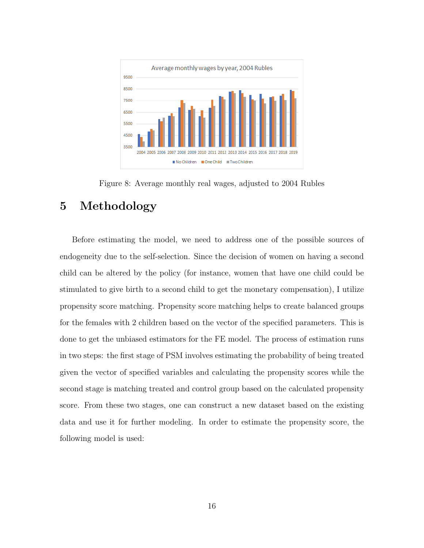

Figure 8: Average monthly real wages, adjusted to 2004 Rubles

## 5 Methodology

Before estimating the model, we need to address one of the possible sources of endogeneity due to the self-selection. Since the decision of women on having a second child can be altered by the policy (for instance, women that have one child could be stimulated to give birth to a second child to get the monetary compensation), I utilize propensity score matching. Propensity score matching helps to create balanced groups for the females with 2 children based on the vector of the specified parameters. This is done to get the unbiased estimators for the FE model. The process of estimation runs in two steps: the first stage of PSM involves estimating the probability of being treated given the vector of specified variables and calculating the propensity scores while the second stage is matching treated and control group based on the calculated propensity score. From these two stages, one can construct a new dataset based on the existing data and use it for further modeling. In order to estimate the propensity score, the following model is used: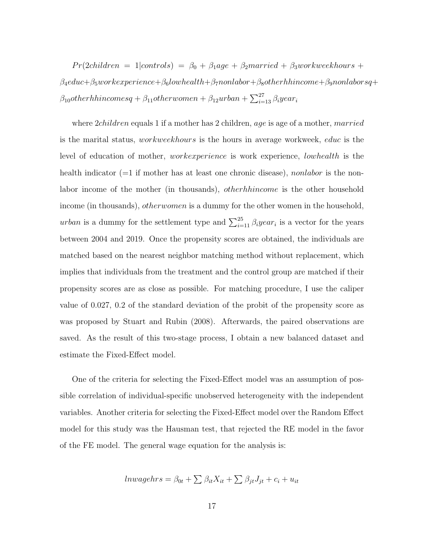$Pr(2children = 1|controls) = \beta_0 + \beta_1age + \beta_2 married + \beta_3workweekhours +$  $\beta_4educ+\beta_5workex perience+\beta_6lowhealth+\beta_7nonlabor+\beta_8otherhhincome+\beta_9nonlaborsq+\beta_9nonlabor+37em\}$  $\beta_{10}$ otherhhincomes $q + \beta_{11}$ otherwomen +  $\beta_{12}$ urban +  $\sum_{i=13}^{27} \beta_i$ year $_i$ 

where 2*children* equals 1 if a mother has 2 children, age is age of a mother, married is the marital status, workweekhours is the hours in average workweek, educ is the level of education of mother, workexperience is work experience, lowhealth is the health indicator  $(=1)$  if mother has at least one chronic disease), nonlabor is the nonlabor income of the mother (in thousands), *otherhhincome* is the other household income (in thousands), *otherwomen* is a dummy for the other women in the household, *urban* is a dummy for the settlement type and  $\sum_{i=1}^{25} \beta_i year_i$  is a vector for the years between 2004 and 2019. Once the propensity scores are obtained, the individuals are matched based on the nearest neighbor matching method without replacement, which implies that individuals from the treatment and the control group are matched if their propensity scores are as close as possible. For matching procedure, I use the caliper value of 0.027, 0.2 of the standard deviation of the probit of the propensity score as was proposed by Stuart and Rubin (2008). Afterwards, the paired observations are saved. As the result of this two-stage process, I obtain a new balanced dataset and estimate the Fixed-Effect model.

One of the criteria for selecting the Fixed-Effect model was an assumption of possible correlation of individual-specific unobserved heterogeneity with the independent variables. Another criteria for selecting the Fixed-Effect model over the Random Effect model for this study was the Hausman test, that rejected the RE model in the favor of the FE model. The general wage equation for the analysis is:

$$
lnwagehrs = \beta_{0t} + \sum \beta_{it} X_{it} + \sum \beta_{jt} J_{jt} + c_i + u_{it}
$$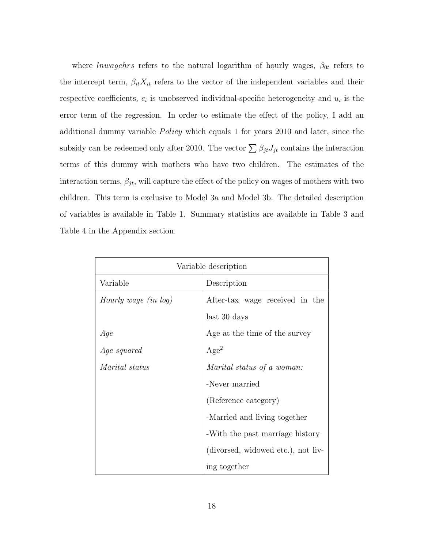where *lnwagehrs* refers to the natural logarithm of hourly wages,  $\beta_{0t}$  refers to the intercept term,  $\beta_{it}X_{it}$  refers to the vector of the independent variables and their respective coefficients,  $c_i$  is unobserved individual-specific heterogeneity and  $u_i$  is the error term of the regression. In order to estimate the effect of the policy, I add an additional dummy variable  $Policy$  which equals 1 for years 2010 and later, since the subsidy can be redeemed only after 2010. The vector  $\sum \beta_{jt} J_{jt}$  contains the interaction terms of this dummy with mothers who have two children. The estimates of the interaction terms,  $\beta_{jt}$ , will capture the effect of the policy on wages of mothers with two children. This term is exclusive to Model 3a and Model 3b. The detailed description of variables is available in Table 1. Summary statistics are available in Table 3 and Table 4 in the Appendix section.

| Variable description  |                                    |  |  |
|-----------------------|------------------------------------|--|--|
| Variable              | Description                        |  |  |
| Hourly wage (in log)  | After-tax wage received in the     |  |  |
|                       | last 30 days                       |  |  |
| Age                   | Age at the time of the survey      |  |  |
| <i>Age squared</i>    | Age <sup>2</sup>                   |  |  |
| <i>Marital status</i> | Marital status of a woman:         |  |  |
|                       | -Never married                     |  |  |
|                       | (Reference category)               |  |  |
|                       | -Married and living together       |  |  |
|                       | -With the past marriage history    |  |  |
|                       | (divorsed, widowed etc.), not liv- |  |  |
|                       | ing together                       |  |  |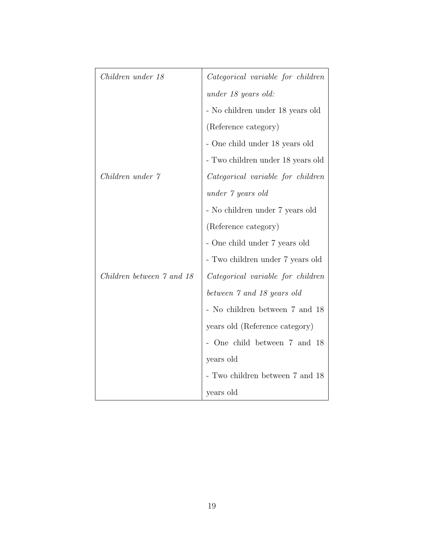| Children under 18         | Categorical variable for children |
|---------------------------|-----------------------------------|
|                           | under 18 years old:               |
|                           | - No children under 18 years old  |
|                           | (Reference category)              |
|                           | - One child under 18 years old    |
|                           | - Two children under 18 years old |
| Children under 7          | Categorical variable for children |
|                           | under 7 years old                 |
|                           | - No children under 7 years old   |
|                           | (Reference category)              |
|                           | - One child under 7 years old     |
|                           | - Two children under 7 years old  |
| Children between 7 and 18 | Categorical variable for children |
|                           | between 7 and 18 years old        |
|                           | - No children between 7 and 18    |
|                           | years old (Reference category)    |
|                           | - One child between 7 and 18      |
|                           | years old                         |
|                           | - Two children between 7 and 18   |
|                           | years old                         |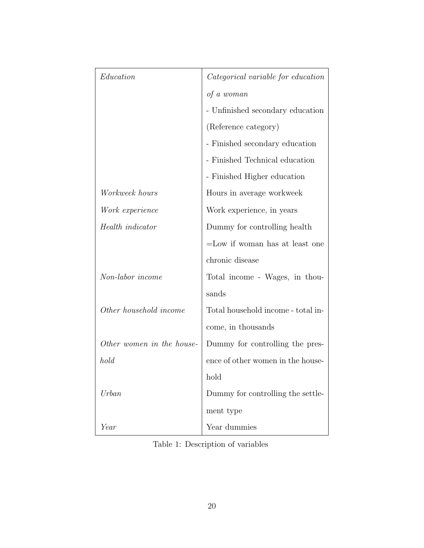| Education                 | Categorical variable for education |
|---------------------------|------------------------------------|
|                           | of a woman                         |
|                           | - Unfinished secondary education   |
|                           | (Reference category)               |
|                           | - Finished secondary education     |
|                           | - Finished Technical education     |
|                           | - Finished Higher education        |
| Workweek hours            | Hours in average workweek          |
| Work experience           | Work experience, in years          |
| Health indicator          | Dummy for controlling health       |
|                           | $=$ Low if woman has at least one  |
|                           | chronic disease                    |
| Non-labor income          | Total income - Wages, in thou-     |
|                           | sands                              |
| Other household income    | Total household income - total in- |
|                           | come, in thousands                 |
| Other women in the house- | Dummy for controlling the pres-    |
| hold                      | ence of other women in the house-  |
|                           | hold                               |
| Urban                     | Dummy for controlling the settle-  |
|                           | ment type                          |
| Year                      | Year dummies                       |

Table 1: Description of variables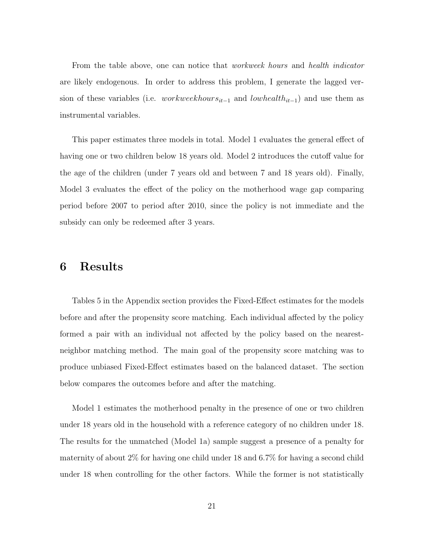From the table above, one can notice that *workweek hours* and *health indicator* are likely endogenous. In order to address this problem, I generate the lagged version of these variables (i.e. *workweekhours*<sub>it−1</sub> and *lowhealth*<sub>it−1</sub>) and use them as instrumental variables.

This paper estimates three models in total. Model 1 evaluates the general effect of having one or two children below 18 years old. Model 2 introduces the cutoff value for the age of the children (under 7 years old and between 7 and 18 years old). Finally, Model 3 evaluates the effect of the policy on the motherhood wage gap comparing period before 2007 to period after 2010, since the policy is not immediate and the subsidy can only be redeemed after 3 years.

#### 6 Results

Tables 5 in the Appendix section provides the Fixed-Effect estimates for the models before and after the propensity score matching. Each individual affected by the policy formed a pair with an individual not affected by the policy based on the nearestneighbor matching method. The main goal of the propensity score matching was to produce unbiased Fixed-Effect estimates based on the balanced dataset. The section below compares the outcomes before and after the matching.

Model 1 estimates the motherhood penalty in the presence of one or two children under 18 years old in the household with a reference category of no children under 18. The results for the unmatched (Model 1a) sample suggest a presence of a penalty for maternity of about 2% for having one child under 18 and 6.7% for having a second child under 18 when controlling for the other factors. While the former is not statistically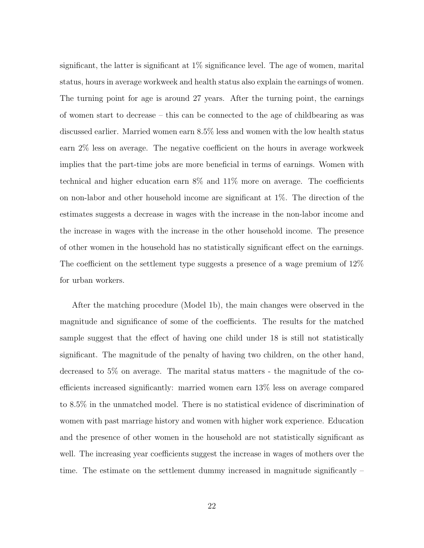significant, the latter is significant at  $1\%$  significance level. The age of women, marital status, hours in average workweek and health status also explain the earnings of women. The turning point for age is around 27 years. After the turning point, the earnings of women start to decrease – this can be connected to the age of childbearing as was discussed earlier. Married women earn 8.5% less and women with the low health status earn 2% less on average. The negative coefficient on the hours in average workweek implies that the part-time jobs are more beneficial in terms of earnings. Women with technical and higher education earn 8% and 11% more on average. The coefficients on non-labor and other household income are significant at 1%. The direction of the estimates suggests a decrease in wages with the increase in the non-labor income and the increase in wages with the increase in the other household income. The presence of other women in the household has no statistically significant effect on the earnings. The coefficient on the settlement type suggests a presence of a wage premium of 12% for urban workers.

After the matching procedure (Model 1b), the main changes were observed in the magnitude and significance of some of the coefficients. The results for the matched sample suggest that the effect of having one child under 18 is still not statistically significant. The magnitude of the penalty of having two children, on the other hand, decreased to 5% on average. The marital status matters - the magnitude of the coefficients increased significantly: married women earn 13% less on average compared to 8.5% in the unmatched model. There is no statistical evidence of discrimination of women with past marriage history and women with higher work experience. Education and the presence of other women in the household are not statistically significant as well. The increasing year coefficients suggest the increase in wages of mothers over the time. The estimate on the settlement dummy increased in magnitude significantly –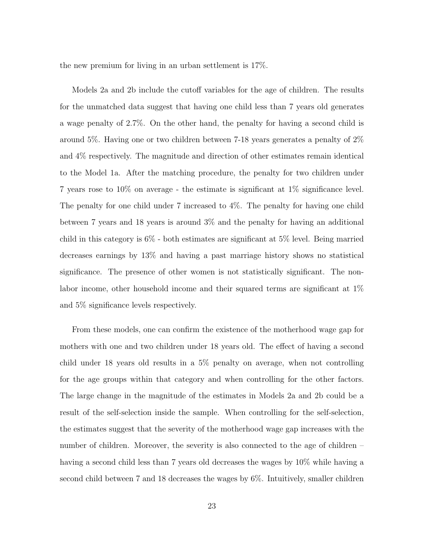the new premium for living in an urban settlement is 17%.

Models 2a and 2b include the cutoff variables for the age of children. The results for the unmatched data suggest that having one child less than 7 years old generates a wage penalty of 2.7%. On the other hand, the penalty for having a second child is around 5%. Having one or two children between 7-18 years generates a penalty of 2% and 4% respectively. The magnitude and direction of other estimates remain identical to the Model 1a. After the matching procedure, the penalty for two children under 7 years rose to 10% on average - the estimate is significant at 1% significance level. The penalty for one child under 7 increased to 4%. The penalty for having one child between 7 years and 18 years is around 3% and the penalty for having an additional child in this category is 6% - both estimates are significant at 5% level. Being married decreases earnings by 13% and having a past marriage history shows no statistical significance. The presence of other women is not statistically significant. The nonlabor income, other household income and their squared terms are significant at 1% and 5% significance levels respectively.

From these models, one can confirm the existence of the motherhood wage gap for mothers with one and two children under 18 years old. The effect of having a second child under 18 years old results in a 5% penalty on average, when not controlling for the age groups within that category and when controlling for the other factors. The large change in the magnitude of the estimates in Models 2a and 2b could be a result of the self-selection inside the sample. When controlling for the self-selection, the estimates suggest that the severity of the motherhood wage gap increases with the number of children. Moreover, the severity is also connected to the age of children – having a second child less than 7 years old decreases the wages by 10% while having a second child between 7 and 18 decreases the wages by 6%. Intuitively, smaller children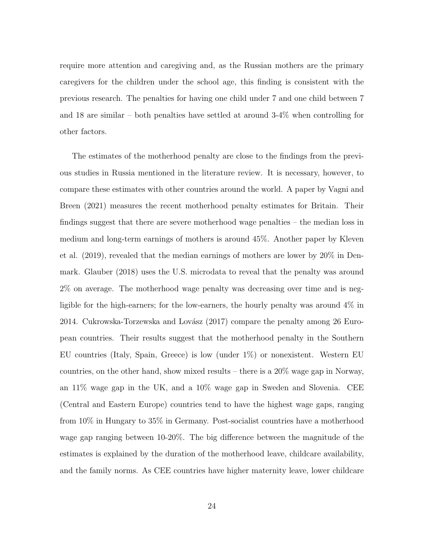require more attention and caregiving and, as the Russian mothers are the primary caregivers for the children under the school age, this finding is consistent with the previous research. The penalties for having one child under 7 and one child between 7 and 18 are similar – both penalties have settled at around 3-4% when controlling for other factors.

The estimates of the motherhood penalty are close to the findings from the previous studies in Russia mentioned in the literature review. It is necessary, however, to compare these estimates with other countries around the world. A paper by Vagni and Breen (2021) measures the recent motherhood penalty estimates for Britain. Their findings suggest that there are severe motherhood wage penalties – the median loss in medium and long-term earnings of mothers is around 45%. Another paper by Kleven et al. (2019), revealed that the median earnings of mothers are lower by 20% in Denmark. Glauber (2018) uses the U.S. microdata to reveal that the penalty was around 2% on average. The motherhood wage penalty was decreasing over time and is negligible for the high-earners; for the low-earners, the hourly penalty was around 4% in 2014. Cukrowska-Torzewska and Lovász  $(2017)$  compare the penalty among 26 European countries. Their results suggest that the motherhood penalty in the Southern EU countries (Italy, Spain, Greece) is low (under 1%) or nonexistent. Western EU countries, on the other hand, show mixed results – there is a 20% wage gap in Norway, an 11% wage gap in the UK, and a 10% wage gap in Sweden and Slovenia. CEE (Central and Eastern Europe) countries tend to have the highest wage gaps, ranging from 10% in Hungary to 35% in Germany. Post-socialist countries have a motherhood wage gap ranging between 10-20%. The big difference between the magnitude of the estimates is explained by the duration of the motherhood leave, childcare availability, and the family norms. As CEE countries have higher maternity leave, lower childcare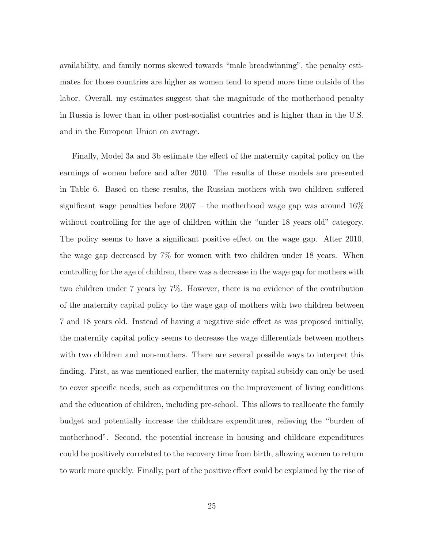availability, and family norms skewed towards "male breadwinning", the penalty estimates for those countries are higher as women tend to spend more time outside of the labor. Overall, my estimates suggest that the magnitude of the motherhood penalty in Russia is lower than in other post-socialist countries and is higher than in the U.S. and in the European Union on average.

Finally, Model 3a and 3b estimate the effect of the maternity capital policy on the earnings of women before and after 2010. The results of these models are presented in Table 6. Based on these results, the Russian mothers with two children suffered significant wage penalties before  $2007 -$  the motherhood wage gap was around  $16\%$ without controlling for the age of children within the "under 18 years old" category. The policy seems to have a significant positive effect on the wage gap. After 2010, the wage gap decreased by 7% for women with two children under 18 years. When controlling for the age of children, there was a decrease in the wage gap for mothers with two children under 7 years by 7%. However, there is no evidence of the contribution of the maternity capital policy to the wage gap of mothers with two children between 7 and 18 years old. Instead of having a negative side effect as was proposed initially, the maternity capital policy seems to decrease the wage differentials between mothers with two children and non-mothers. There are several possible ways to interpret this finding. First, as was mentioned earlier, the maternity capital subsidy can only be used to cover specific needs, such as expenditures on the improvement of living conditions and the education of children, including pre-school. This allows to reallocate the family budget and potentially increase the childcare expenditures, relieving the "burden of motherhood". Second, the potential increase in housing and childcare expenditures could be positively correlated to the recovery time from birth, allowing women to return to work more quickly. Finally, part of the positive effect could be explained by the rise of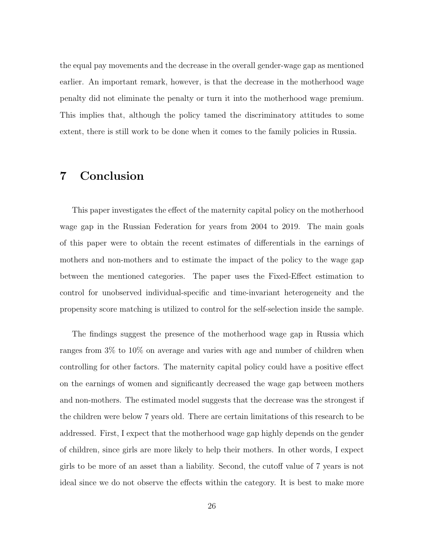the equal pay movements and the decrease in the overall gender-wage gap as mentioned earlier. An important remark, however, is that the decrease in the motherhood wage penalty did not eliminate the penalty or turn it into the motherhood wage premium. This implies that, although the policy tamed the discriminatory attitudes to some extent, there is still work to be done when it comes to the family policies in Russia.

## 7 Conclusion

This paper investigates the effect of the maternity capital policy on the motherhood wage gap in the Russian Federation for years from 2004 to 2019. The main goals of this paper were to obtain the recent estimates of differentials in the earnings of mothers and non-mothers and to estimate the impact of the policy to the wage gap between the mentioned categories. The paper uses the Fixed-Effect estimation to control for unobserved individual-specific and time-invariant heterogeneity and the propensity score matching is utilized to control for the self-selection inside the sample.

The findings suggest the presence of the motherhood wage gap in Russia which ranges from 3% to 10% on average and varies with age and number of children when controlling for other factors. The maternity capital policy could have a positive effect on the earnings of women and significantly decreased the wage gap between mothers and non-mothers. The estimated model suggests that the decrease was the strongest if the children were below 7 years old. There are certain limitations of this research to be addressed. First, I expect that the motherhood wage gap highly depends on the gender of children, since girls are more likely to help their mothers. In other words, I expect girls to be more of an asset than a liability. Second, the cutoff value of 7 years is not ideal since we do not observe the effects within the category. It is best to make more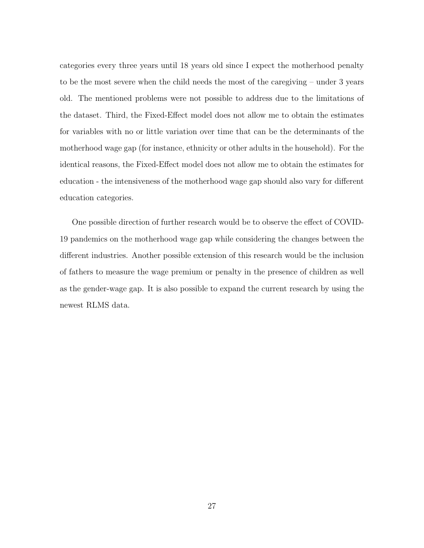categories every three years until 18 years old since I expect the motherhood penalty to be the most severe when the child needs the most of the caregiving – under 3 years old. The mentioned problems were not possible to address due to the limitations of the dataset. Third, the Fixed-Effect model does not allow me to obtain the estimates for variables with no or little variation over time that can be the determinants of the motherhood wage gap (for instance, ethnicity or other adults in the household). For the identical reasons, the Fixed-Effect model does not allow me to obtain the estimates for education - the intensiveness of the motherhood wage gap should also vary for different education categories.

One possible direction of further research would be to observe the effect of COVID-19 pandemics on the motherhood wage gap while considering the changes between the different industries. Another possible extension of this research would be the inclusion of fathers to measure the wage premium or penalty in the presence of children as well as the gender-wage gap. It is also possible to expand the current research by using the newest RLMS data.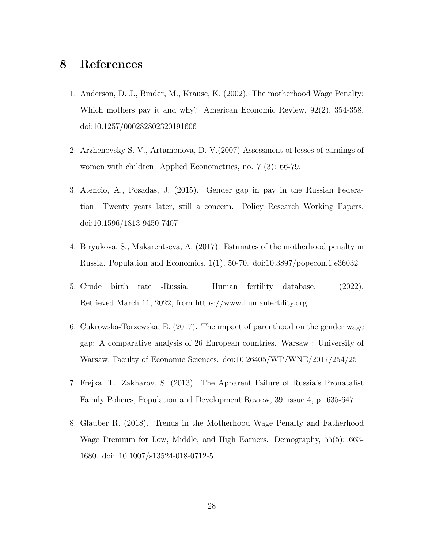#### 8 References

- 1. Anderson, D. J., Binder, M., Krause, K. (2002). The motherhood Wage Penalty: Which mothers pay it and why? American Economic Review, 92(2), 354-358. doi:10.1257/000282802320191606
- 2. Arzhenovsky S. V., Artamonova, D. V.(2007) Assessment of losses of earnings of women with children. Applied Econometrics, no. 7 (3): 66-79.
- 3. Atencio, A., Posadas, J. (2015). Gender gap in pay in the Russian Federation: Twenty years later, still a concern. Policy Research Working Papers. doi:10.1596/1813-9450-7407
- 4. Biryukova, S., Makarentseva, A. (2017). Estimates of the motherhood penalty in Russia. Population and Economics, 1(1), 50-70. doi:10.3897/popecon.1.e36032
- 5. Crude birth rate -Russia. Human fertility database. (2022). Retrieved March 11, 2022, from https://www.humanfertility.org
- 6. Cukrowska-Torzewska, E. (2017). The impact of parenthood on the gender wage gap: A comparative analysis of 26 European countries. Warsaw : University of Warsaw, Faculty of Economic Sciences. doi:10.26405/WP/WNE/2017/254/25
- 7. Frejka, T., Zakharov, S. (2013). The Apparent Failure of Russia's Pronatalist Family Policies, Population and Development Review, 39, issue 4, p. 635-647
- 8. Glauber R. (2018). Trends in the Motherhood Wage Penalty and Fatherhood Wage Premium for Low, Middle, and High Earners. Demography, 55(5):1663- 1680. doi: 10.1007/s13524-018-0712-5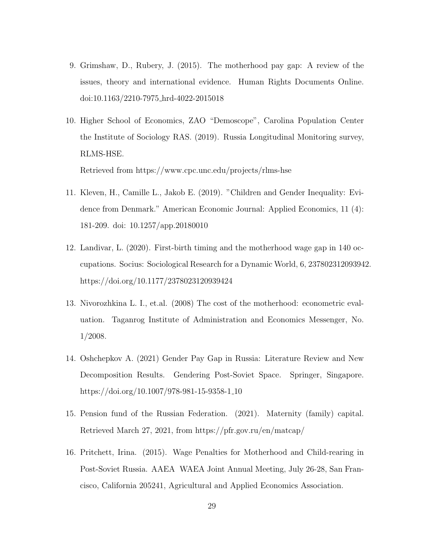- 9. Grimshaw, D., Rubery, J. (2015). The motherhood pay gap: A review of the issues, theory and international evidence. Human Rights Documents Online. doi:10.1163/2210-7975 hrd-4022-2015018
- 10. Higher School of Economics, ZAO "Demoscope", Carolina Population Center the Institute of Sociology RAS. (2019). Russia Longitudinal Monitoring survey, RLMS-HSE. Retrieved from https://www.cpc.unc.edu/projects/rlms-hse
- 11. Kleven, H., Camille L., Jakob E. (2019). "Children and Gender Inequality: Evidence from Denmark." American Economic Journal: Applied Economics, 11 (4): 181-209. doi: 10.1257/app.20180010
- 12. Landivar, L. (2020). First-birth timing and the motherhood wage gap in 140 occupations. Socius: Sociological Research for a Dynamic World, 6, 237802312093942. https://doi.org/10.1177/2378023120939424
- 13. Nivorozhkina L. I., et.al. (2008) The cost of the motherhood: econometric evaluation. Taganrog Institute of Administration and Economics Messenger, No. 1/2008.
- 14. Oshchepkov A. (2021) Gender Pay Gap in Russia: Literature Review and New Decomposition Results. Gendering Post-Soviet Space. Springer, Singapore. https://doi.org/10.1007/978-981-15-9358-1 10
- 15. Pension fund of the Russian Federation. (2021). Maternity (family) capital. Retrieved March 27, 2021, from https://pfr.gov.ru/en/matcap/
- 16. Pritchett, Irina. (2015). Wage Penalties for Motherhood and Child-rearing in Post-Soviet Russia. AAEA WAEA Joint Annual Meeting, July 26-28, San Francisco, California 205241, Agricultural and Applied Economics Association.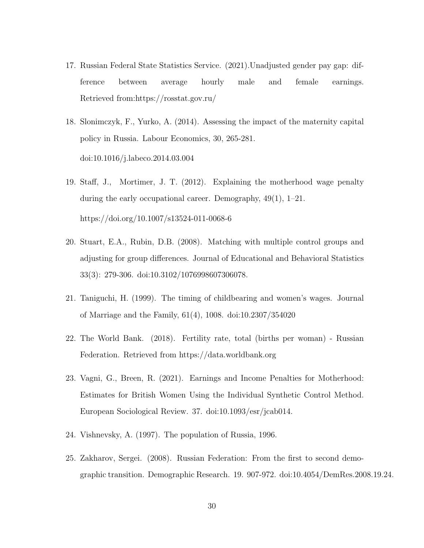- 17. Russian Federal State Statistics Service. (2021).Unadjusted gender pay gap: difference between average hourly male and female earnings. Retrieved from:https://rosstat.gov.ru/
- 18. Slonimczyk, F., Yurko, A. (2014). Assessing the impact of the maternity capital policy in Russia. Labour Economics, 30, 265-281. doi:10.1016/j.labeco.2014.03.004
- 19. Staff, J., Mortimer, J. T. (2012). Explaining the motherhood wage penalty during the early occupational career. Demography, 49(1), 1–21. https://doi.org/10.1007/s13524-011-0068-6
- 20. Stuart, E.A., Rubin, D.B. (2008). Matching with multiple control groups and adjusting for group differences. Journal of Educational and Behavioral Statistics 33(3): 279-306. doi:10.3102/1076998607306078.
- 21. Taniguchi, H. (1999). The timing of childbearing and women's wages. Journal of Marriage and the Family, 61(4), 1008. doi:10.2307/354020
- 22. The World Bank. (2018). Fertility rate, total (births per woman) Russian Federation. Retrieved from https://data.worldbank.org
- 23. Vagni, G., Breen, R. (2021). Earnings and Income Penalties for Motherhood: Estimates for British Women Using the Individual Synthetic Control Method. European Sociological Review. 37. doi:10.1093/esr/jcab014.
- 24. Vishnevsky, A. (1997). The population of Russia, 1996.
- 25. Zakharov, Sergei. (2008). Russian Federation: From the first to second demographic transition. Demographic Research. 19. 907-972. doi:10.4054/DemRes.2008.19.24.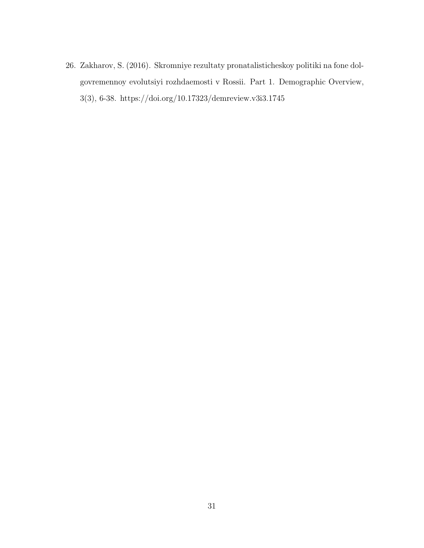26. Zakharov, S. (2016). Skromniye rezultaty pronatalisticheskoy politiki na fone dolgovremennoy evolutsiyi rozhdaemosti v Rossii. Part 1. Demographic Overview, 3(3), 6-38. https://doi.org/10.17323/demreview.v3i3.1745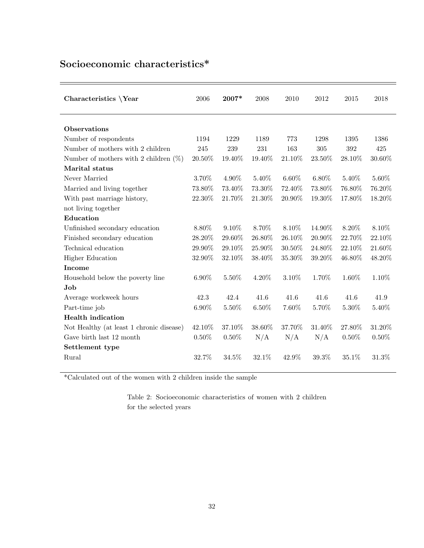## Socioeconomic characteristics\*

| Characteristics \Year                    | 2006     | $2007*$  | 2008     | 2010     | 2012     | 2015     | 2018     |
|------------------------------------------|----------|----------|----------|----------|----------|----------|----------|
| <b>Observations</b>                      |          |          |          |          |          |          |          |
| Number of respondents                    | 1194     | 1229     | 1189     | 773      | 1298     | 1395     | 1386     |
| Number of mothers with 2 children        | 245      | 239      | 231      | 163      | 305      | 392      | 425      |
| Number of mothers with 2 children $(\%)$ | 20.50%   | 19.40%   | 19.40%   | 21.10%   | 23.50%   | 28.10%   | 30.60%   |
| Marital status                           |          |          |          |          |          |          |          |
| Never Married                            | 3.70%    | 4.90%    | 5.40%    | $6.60\%$ | $6.80\%$ | 5.40%    | $5.60\%$ |
| Married and living together              | 73.80%   | 73.40%   | 73.30%   | 72.40%   | 73.80%   | 76.80%   | 76.20%   |
| With past marriage history,              | 22.30%   | 21.70%   | 21.30%   | 20.90%   | 19.30%   | 17.80%   | 18.20%   |
| not living together                      |          |          |          |          |          |          |          |
| Education                                |          |          |          |          |          |          |          |
| Unfinished secondary education           | 8.80%    | $9.10\%$ | 8.70\%   | 8.10\%   | 14.90%   | 8.20\%   | 8.10%    |
| Finished secondary education             | 28.20%   | 29.60%   | 26.80%   | 26.10%   | 20.90%   | 22.70%   | 22.10%   |
| Technical education                      | 29.90%   | 29.10%   | 25.90%   | 30.50%   | 24.80%   | 22.10%   | 21.60%   |
| <b>Higher Education</b>                  | 32.90%   | 32.10%   | 38.40%   | 35.30%   | 39.20%   | 46.80%   | 48.20%   |
| <b>Income</b>                            |          |          |          |          |          |          |          |
| Household below the poverty line         | $6.90\%$ | 5.50%    | 4.20%    | 3.10%    | 1.70%    | 1.60%    | 1.10%    |
| Job                                      |          |          |          |          |          |          |          |
| Average workweek hours                   | 42.3     | 42.4     | 41.6     | 41.6     | 41.6     | 41.6     | 41.9     |
| Part-time job                            | $6.90\%$ | $5.50\%$ | $6.50\%$ | 7.60%    | 5.70%    | $5.30\%$ | 5.40%    |
| <b>Health</b> indication                 |          |          |          |          |          |          |          |
| Not Healthy (at least 1 chronic disease) | 42.10%   | 37.10%   | 38.60%   | 37.70%   | 31.40%   | 27.80%   | 31.20%   |
| Gave birth last 12 month                 | $0.50\%$ | $0.50\%$ | N/A      | N/A      | N/A      | $0.50\%$ | 0.50%    |
| Settlement type                          |          |          |          |          |          |          |          |
| Rural                                    | 32.7%    | 34.5%    | 32.1%    | 42.9%    | 39.3%    | 35.1%    | 31.3%    |
|                                          |          |          |          |          |          |          |          |

 $^\ast\text{Calculated}$  out of the women with 2 children inside the sample

Table 2: Socioeconomic characteristics of women with 2 children for the selected years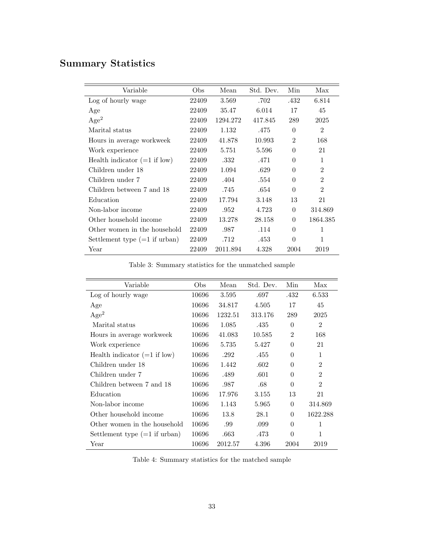# Summary Statistics

| Variable                        | Obs   | Mean     | Std. Dev. | Min            | Max            |
|---------------------------------|-------|----------|-----------|----------------|----------------|
| Log of hourly wage              | 22409 | 3.569    | .702      | .432           | 6.814          |
| Age                             | 22409 | 35.47    | 6.014     | 17             | 45             |
| Age <sup>2</sup>                | 22409 | 1294.272 | 417.845   | 289            | 2025           |
| Marital status                  | 22409 | 1.132    | .475      | $\Omega$       | $\overline{2}$ |
| Hours in average workweek       | 22409 | 41.878   | 10.993    | $\overline{2}$ | 168            |
| Work experience                 | 22409 | 5.751    | 5.596     | $\theta$       | 21             |
| Health indicator $(=1$ if low)  | 22409 | .332     | .471      | 0              | 1              |
| Children under 18               | 22409 | 1.094    | .629      | 0              | $\overline{2}$ |
| Children under 7                | 22409 | .404     | .554      | $\Omega$       | $\mathfrak{D}$ |
| Children between 7 and 18       | 22409 | .745     | .654      | $\Omega$       | $\overline{2}$ |
| Education                       | 22409 | 17.794   | 3.148     | 13             | 21             |
| Non-labor income                | 22409 | .952     | 4.723     | $\Omega$       | 314.869        |
| Other household income          | 22409 | 13.278   | 28.158    | $\Omega$       | 1864.385       |
| Other women in the household    | 22409 | .987     | .114      | $\Omega$       | 1              |
| Settlement type $(=1$ if urban) | 22409 | .712     | .453      | $\Omega$       | 1              |
| Year                            | 22409 | 2011.894 | 4.328     | 2004           | 2019           |

Table 3: Summary statistics for the unmatched sample

| Variable                        | Obs   | Mean    | Std. Dev. | Min            | Max            |
|---------------------------------|-------|---------|-----------|----------------|----------------|
|                                 |       |         |           |                |                |
| Log of hourly wage              | 10696 | 3.595   | .697      | .432           | 6.533          |
| Age                             | 10696 | 34.817  | 4.505     | 17             | 45             |
| Age <sup>2</sup>                | 10696 | 1232.51 | 313.176   | 289            | 2025           |
| Marital status                  | 10696 | 1.085   | .435      | 0              | $\overline{2}$ |
| Hours in average workweek       | 10696 | 41.083  | 10.585    | $\overline{2}$ | 168            |
| Work experience                 | 10696 | 5.735   | 5.427     | 0              | 21             |
| Health indicator $(=1$ if low)  | 10696 | .292    | .455      | 0              | 1              |
| Children under 18               | 10696 | 1.442   | .602      | $\Omega$       | $\overline{2}$ |
| Children under 7                | 10696 | .489    | .601      | 0              | $\mathfrak{D}$ |
| Children between 7 and 18       | 10696 | .987    | .68       | $\Omega$       | $\mathfrak{D}$ |
| Education                       | 10696 | 17.976  | 3.155     | 13             | 21             |
| Non-labor income                | 10696 | 1.143   | 5.965     | $\Omega$       | 314.869        |
| Other household income          | 10696 | 13.8    | 28.1      | $\Omega$       | 1622.288       |
| Other women in the household    | 10696 | .99     | .099      | 0              | 1              |
| Settlement type $(=1$ if urban) | 10696 | .663    | .473      | $\Omega$       | 1              |
| Year                            | 10696 | 2012.57 | 4.396     | 2004           | 2019           |

Table 4: Summary statistics for the matched sample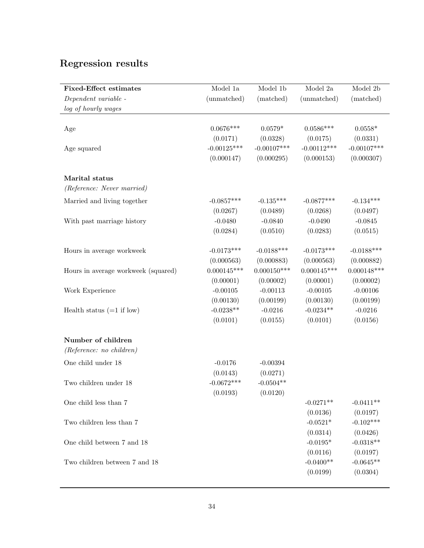# Regression results

| <b>Fixed-Effect estimates</b><br>Dependent variable - | Model 1a<br>(unmatched)   | Model 1b<br>(matched)     | Model 2a<br>(unmatched)   | Model 2b<br>(matched)     |
|-------------------------------------------------------|---------------------------|---------------------------|---------------------------|---------------------------|
| log of hourly wages                                   |                           |                           |                           |                           |
|                                                       |                           |                           |                           |                           |
| Age                                                   | $0.0676***$               | $0.0579*$                 | $0.0586***$               | $0.0558*$                 |
| Age squared                                           | (0.0171)<br>$-0.00125***$ | (0.0328)<br>$-0.00107***$ | (0.0175)<br>$-0.00112***$ | (0.0331)<br>$-0.00107***$ |
|                                                       | (0.000147)                | (0.000295)                | (0.000153)                | (0.000307)                |
| Marital status                                        |                           |                           |                           |                           |
| (Reference: Never married)                            |                           |                           |                           |                           |
| Married and living together                           | $-0.0857***$              | $-0.135***$               | $-0.0877***$              | $-0.134***$               |
|                                                       | (0.0267)                  | (0.0489)                  | (0.0268)                  | (0.0497)                  |
| With past marriage history                            | $-0.0480$                 | $-0.0840$                 | $-0.0490$                 | $-0.0845$                 |
|                                                       | (0.0284)                  | (0.0510)                  | (0.0283)                  | (0.0515)                  |
| Hours in average workweek                             | $-0.0173***$              | $-0.0188***$              | $-0.0173***$              | $-0.0188***$              |
|                                                       | (0.000563)                | (0.000883)                | (0.000563)                | (0.000882)                |
| Hours in average workweek (squared)                   | $0.000145***$             | $0.000150***$             | $0.000145***$             | $0.000148***$             |
|                                                       | (0.00001)                 | (0.00002)                 | (0.00001)                 | (0.00002)                 |
| Work Experience                                       | $-0.00105$                | $-0.00113$                | $-0.00105$                | $-0.00106$                |
|                                                       | (0.00130)                 | (0.00199)                 | (0.00130)                 | (0.00199)                 |
| Health status $(=1$ if low)                           | $-0.0238**$               | $-0.0216$                 | $-0.0234**$               | $-0.0216$                 |
|                                                       | (0.0101)                  | (0.0155)                  | (0.0101)                  | (0.0156)                  |
| Number of children                                    |                           |                           |                           |                           |
| $(Reference: no\ children)$                           |                           |                           |                           |                           |
| One child under 18                                    | $-0.0176$                 | $-0.00394$                |                           |                           |
|                                                       | (0.0143)                  | (0.0271)                  |                           |                           |
| Two children under 18                                 | $-0.0672***$              | $-0.0504**$               |                           |                           |
|                                                       | (0.0193)                  | (0.0120)                  |                           |                           |
| One child less than 7                                 |                           |                           | $-0.0271**$               | $-0.0411**$               |
|                                                       |                           |                           | (0.0136)                  | (0.0197)                  |
| Two children less than 7                              |                           |                           | $-0.0521*$                | $-0.102***$               |
|                                                       |                           |                           | (0.0314)                  | (0.0426)                  |
| One child between 7 and 18                            |                           |                           | $-0.0195*$                | $-0.0318**$               |
|                                                       |                           |                           | (0.0116)                  | (0.0197)                  |
| Two children between 7 and 18                         |                           |                           | $-0.0400**$               | $-0.0645**$               |
|                                                       |                           |                           | (0.0199)                  | (0.0304)                  |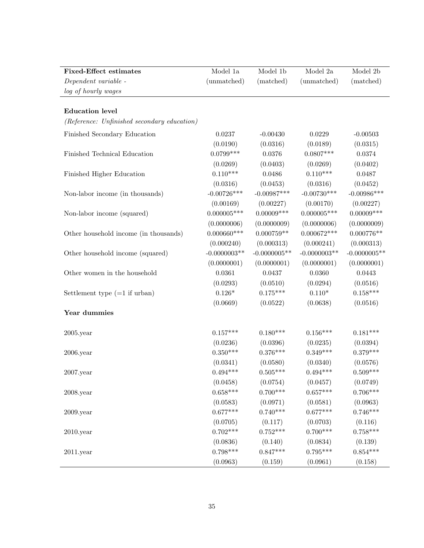| <b>Fixed-Effect estimates</b>               | Model 1a       | Model 1b       | Model 2a       | Model 2b       |
|---------------------------------------------|----------------|----------------|----------------|----------------|
| Dependent variable -                        | (unmatched)    | (matched)      | (unmatched)    | (matched)      |
| log of hourly wages                         |                |                |                |                |
|                                             |                |                |                |                |
| <b>Education</b> level                      |                |                |                |                |
| (Reference: Unfinished secondary education) |                |                |                |                |
| Finished Secondary Education                | 0.0237         | $-0.00430$     | 0.0229         | $-0.00503$     |
|                                             | (0.0190)       | (0.0316)       | (0.0189)       | (0.0315)       |
| Finished Technical Education                | $0.0799***$    | 0.0376         | $0.0807***$    | 0.0374         |
|                                             | (0.0269)       | (0.0403)       | (0.0269)       | (0.0402)       |
| Finished Higher Education                   | $0.110***$     | 0.0486         | $0.110***$     | 0.0487         |
|                                             | (0.0316)       | (0.0453)       | (0.0316)       | (0.0452)       |
| Non-labor income (in thousands)             | $-0.00726***$  | $-0.00987***$  | $-0.00730***$  | $-0.00986***$  |
|                                             | (0.00169)      | (0.00227)      | (0.00170)      | (0.00227)      |
| Non-labor income (squared)                  | $0.000005***$  | $0.00009***$   | $0.000005***$  | $0.00009$ ***  |
|                                             | (0.0000006)    | (0.0000009)    | (0.0000006)    | (0.0000009)    |
| Other household income (in thousands)       | $0.000660***$  | $0.000759**$   | $0.000672***$  | $0.000776**$   |
|                                             | (0.000240)     | (0.000313)     | (0.000241)     | (0.000313)     |
| Other household income (squared)            | $-0.0000003**$ | $-0.0000005**$ | $-0.0000003**$ | $-0.0000005**$ |
|                                             | (0.0000001)    | (0.0000001)    | (0.0000001)    | (0.0000001)    |
| Other women in the household                | 0.0361         | 0.0437         | 0.0360         | 0.0443         |
|                                             | (0.0293)       | (0.0510)       | (0.0294)       | (0.0516)       |
| Settlement type $(=1$ if urban)             | $0.126*$       | $0.175***$     | $0.110*$       | $0.158***$     |
|                                             | (0.0669)       | (0.0522)       | (0.0638)       | (0.0516)       |
| Year dummies                                |                |                |                |                |
|                                             |                |                |                |                |
| $2005$ .year                                | $0.157***$     | $0.180***$     | $0.156***$     | $0.181***$     |
|                                             | (0.0236)       | (0.0396)       | (0.0235)       | (0.0394)       |
| $2006$ .year                                | $0.350***$     | $0.376***$     | $0.349***$     | $0.379***$     |
|                                             | (0.0341)       | (0.0580)       | (0.0340)       | (0.0576)       |
| $2007.\ensuremath{\mathrm{year}}$           | $0.494***$     | $0.505***$     | $0.494***$     | $0.509***$     |
|                                             | (0.0458)       | (0.0754)       | (0.0457)       | (0.0749)       |
| $2008$ .year                                | $0.658***$     | $0.700***$     | $0.657***$     | $0.706***$     |
|                                             | (0.0583)       | (0.0971)       | (0.0581)       | (0.0963)       |
| $2009.$ year                                | $0.677***$     | $0.740***$     | $0.677***$     | $0.746***$     |
|                                             | (0.0705)       | (0.117)        | (0.0703)       | (0.116)        |
| $2010$ .year                                | $0.702***$     | $0.752***$     | $0.700***$     | $0.758***$     |
|                                             | (0.0836)       | (0.140)        | (0.0834)       | (0.139)        |
| $2011$ .year                                | $0.798***$     | $0.847***$     | $0.795***$     | $0.854***$     |
|                                             | (0.0963)       | (0.159)        | (0.0961)       | (0.158)        |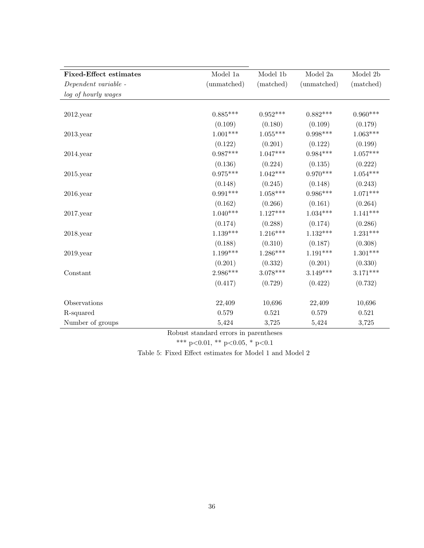| <b>Fixed-Effect estimates</b> | Model 1a        | Model 1b   | Model 2a    | Model 2b   |
|-------------------------------|-----------------|------------|-------------|------------|
| Dependent variable -          | (unmatched)     | (matched)  | (unmatched) | (matched)  |
| log of hourly wages           |                 |            |             |            |
|                               |                 |            |             |            |
| $2012$ .year                  | $0.885***$      | $0.952***$ | $0.882***$  | $0.960***$ |
|                               | (0.109)         | (0.180)    | (0.109)     | (0.179)    |
| $2013$ . year                 | $1.001^{***}\;$ | $1.055***$ | $0.998***$  | $1.063***$ |
|                               | (0.122)         | (0.201)    | (0.122)     | (0.199)    |
| $2014$ . year                 | $0.987***$      | $1.047***$ | $0.984***$  | $1.057***$ |
|                               | (0.136)         | (0.224)    | (0.135)     | (0.222)    |
| $2015$ . year                 | $0.975***$      | $1.042***$ | $0.970***$  | $1.054***$ |
|                               | (0.148)         | (0.245)    | (0.148)     | (0.243)    |
| $2016$ .year                  | $0.991***$      | $1.058***$ | $0.986***$  | $1.071***$ |
|                               | (0.162)         | (0.266)    | (0.161)     | (0.264)    |
| $2017$ .year                  | $1.040***$      | $1.127***$ | $1.034***$  | $1.141***$ |
|                               | (0.174)         | (0.288)    | (0.174)     | (0.286)    |
| $2018$ .year                  | $1.139***$      | $1.216***$ | $1.132***$  | $1.231***$ |
|                               | (0.188)         | (0.310)    | (0.187)     | (0.308)    |
| $2019.$ year                  | $1.199***$      | $1.286***$ | $1.191***$  | $1.301***$ |
|                               | (0.201)         | (0.332)    | (0.201)     | (0.330)    |
| Constant                      | $2.986***$      | $3.078***$ | $3.149***$  | $3.171***$ |
|                               | (0.417)         | (0.729)    | (0.422)     | (0.732)    |
| Observations                  | 22,409          | 10,696     | 22,409      | 10,696     |
| R-squared                     | 0.579           | 0.521      | 0.579       | 0.521      |
| Number of groups              | 5,424           | 3,725      | 5,424       | 3,725      |

Robust standard errors in parentheses

\*\*\* p<0.01, \*\* p<0.05, \* p<0.1

Table 5: Fixed Effect estimates for Model 1 and Model 2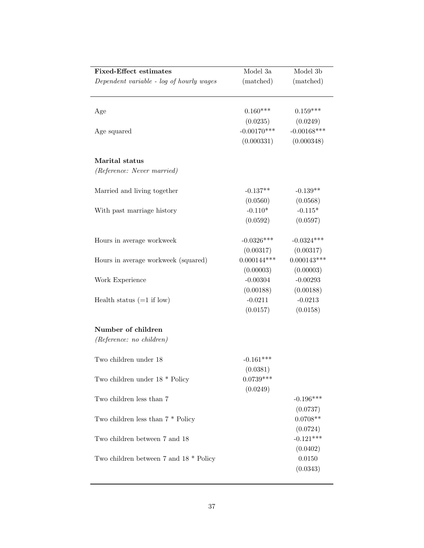| <b>Fixed-Effect estimates</b>              | Model 3a      | Model 3b                   |
|--------------------------------------------|---------------|----------------------------|
| Dependent variable - log of hourly wages   | (matched)     | (matched)                  |
|                                            |               |                            |
|                                            |               |                            |
| Age                                        | $0.160***$    | $0.159***$                 |
|                                            | (0.0235)      | (0.0249)                   |
| Age squared                                | $-0.00170***$ | $-0.00168***$              |
|                                            | (0.000331)    | (0.000348)                 |
| Marital status                             |               |                            |
| (Reference: Never married)                 |               |                            |
|                                            |               |                            |
| Married and living together                | $-0.137**$    | $-0.139**$                 |
|                                            | (0.0560)      | (0.0568)                   |
| With past marriage history                 | $-0.110*$     | $-0.115*$                  |
|                                            | (0.0592)      | (0.0597)                   |
|                                            | $-0.0326***$  | $-0.0324***$               |
| Hours in average workweek                  |               |                            |
|                                            | (0.00317)     | (0.00317)<br>$0.000143***$ |
| Hours in average workweek (squared)        | $0.000144***$ |                            |
|                                            | (0.00003)     | (0.00003)                  |
| Work Experience                            | $-0.00304$    | $-0.00293$                 |
|                                            | (0.00188)     | (0.00188)                  |
| Health status $(=1$ if low)                | $-0.0211$     | $-0.0213$                  |
|                                            | (0.0157)      | (0.0158)                   |
| Number of children                         |               |                            |
| (Reference: no children)                   |               |                            |
|                                            |               |                            |
| Two children under 18                      | $-0.161***$   |                            |
|                                            | (0.0381)      |                            |
| Two children under $18 *$ Policy           | $0.0739***$   |                            |
|                                            | (0.0249)      |                            |
| Two children less than 7                   |               | $-0.196***$                |
|                                            |               | (0.0737)                   |
| Two children less than $7 *$ Policy        |               | $0.0708**$                 |
|                                            |               | (0.0724)                   |
| Two children between 7 and 18              |               | $-0.121***$                |
|                                            |               | (0.0402)                   |
| Two children between $7$ and $18 *$ Policy |               | 0.0150                     |
|                                            |               | (0.0343)                   |